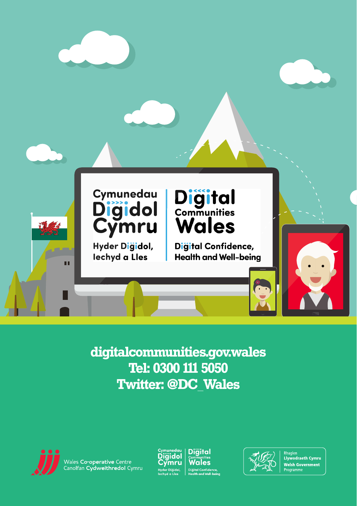

digitalcommunities.gov.wales Tel: 0300 111 5050 **Twitter: @DC Wales** 



Vales <mark>Co-operative</mark> Centre<br>anolfan **Cydweithredol** Cymru







Rhaglen<br>Llywodraeth Cymru **Welsh Government** Programme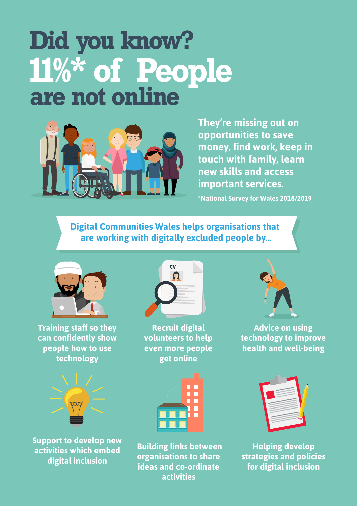## **Did you know? 11%\* of People are not online**



**They're missing out on opportunities to save money, find work, keep in touch with family, learn new skills and access important services.**

**\*National Survey for Wales 2018/2019**

**Digital Communities Wales helps organisations that are working with digitally excluded people by...**



**Training staff so they can confidently show people how to use technology**



**Support to develop new activities which embed digital inclusion**



**Recruit digital volunteers to help even more people get online**



 **Building links between organisations to share ideas and co-ordinate activities**



**Advice on using technology to improve health and well-being**



**Helping develop strategies and policies for digital inclusion**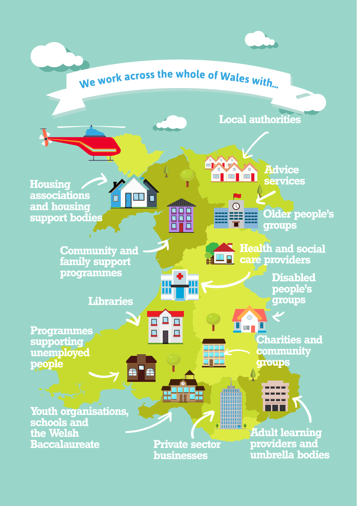